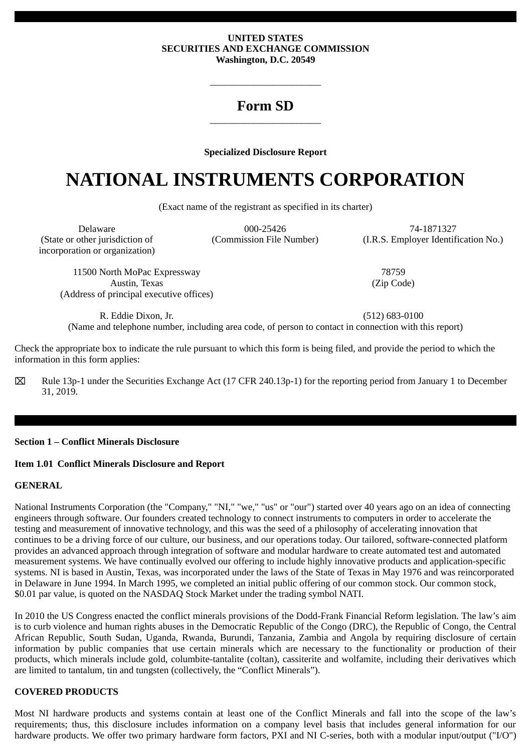#### **UNITED STATES SECURITIES AND EXCHANGE COMMISSION Washington, D.C. 20549**

# **Form SD** \_\_\_\_\_\_\_\_\_\_\_\_\_\_\_\_\_\_\_\_\_\_\_

 $\frac{1}{2}$  ,  $\frac{1}{2}$  ,  $\frac{1}{2}$  ,  $\frac{1}{2}$  ,  $\frac{1}{2}$  ,  $\frac{1}{2}$  ,  $\frac{1}{2}$  ,  $\frac{1}{2}$  ,  $\frac{1}{2}$  ,  $\frac{1}{2}$  ,  $\frac{1}{2}$  ,  $\frac{1}{2}$  ,  $\frac{1}{2}$  ,  $\frac{1}{2}$  ,  $\frac{1}{2}$  ,  $\frac{1}{2}$  ,  $\frac{1}{2}$  ,  $\frac{1}{2}$  ,  $\frac{1$ 

## **Specialized Disclosure Report**

# **NATIONAL INSTRUMENTS CORPORATION**

(Exact name of the registrant as specified in its charter)

(State or other jurisdiction of incorporation or organization)

Delaware 000-25426 74-1871327

(Commission File Number) (I.R.S. Employer Identification No.)

11500 North MoPac Expressway 78759 Austin, Texas (Address of principal executive offices)

(Zip Code)

R. Eddie Dixon, Jr. (512) 683-0100

(Name and telephone number, including area code, of person to contact in connection with this report)

Check the appropriate box to indicate the rule pursuant to which this form is being filed, and provide the period to which the information in this form applies:

⌧ Rule 13p-1 under the Securities Exchange Act (17 CFR 240.13p-1) for the reporting period from January 1 to December 31, 2019.

## **Section 1 – Conflict Minerals Disclosure**

## **Item 1.01 Conflict Minerals Disclosure and Report**

# **GENERAL**

National Instruments Corporation (the "Company," "NI," "we," "us" or "our") started over 40 years ago on an idea of connecting engineers through software. Our founders created technology to connect instruments to computers in order to accelerate the testing and measurement of innovative technology, and this was the seed of a philosophy of accelerating innovation that continues to be a driving force of our culture, our business, and our operations today. Our tailored, software-connected platform provides an advanced approach through integration of software and modular hardware to create automated test and automated measurement systems. We have continually evolved our offering to include highly innovative products and application-specific systems. NI is based in Austin, Texas, was incorporated under the laws of the State of Texas in May 1976 and was reincorporated in Delaware in June 1994. In March 1995, we completed an initial public offering of our common stock. Our common stock, \$0.01 par value, is quoted on the NASDAQ Stock Market under the trading symbol NATI.

In 2010 the US Congress enacted the conflict minerals provisions of the Dodd-Frank Financial Reform legislation. The law's aim is to curb violence and human rights abuses in the Democratic Republic of the Congo (DRC), the Republic of Congo, the Central African Republic, South Sudan, Uganda, Rwanda, Burundi, Tanzania, Zambia and Angola by requiring disclosure of certain information by public companies that use certain minerals which are necessary to the functionality or production of their products, which minerals include gold, columbite-tantalite (coltan), cassiterite and wolfamite, including their derivatives which are limited to tantalum, tin and tungsten (collectively, the "Conflict Minerals").

# **COVERED PRODUCTS**

Most NI hardware products and systems contain at least one of the Conflict Minerals and fall into the scope of the law's requirements; thus, this disclosure includes information on a company level basis that includes general information for our hardware products. We offer two primary hardware form factors, PXI and NI C-series, both with a modular input/output ("I/O")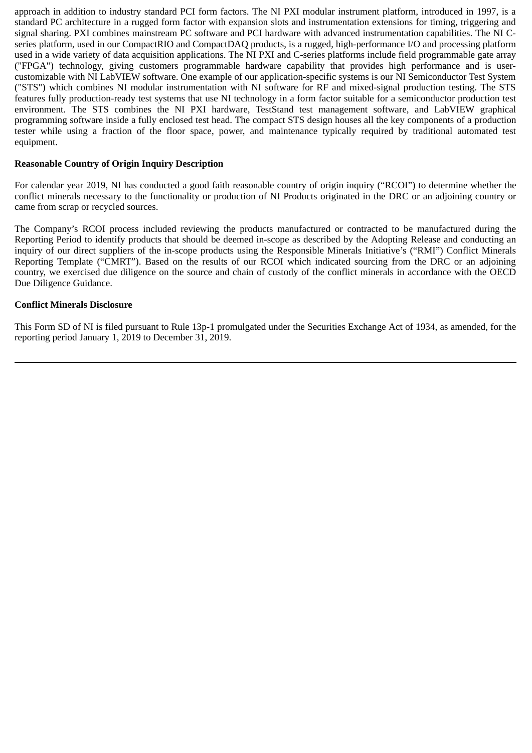approach in addition to industry standard PCI form factors. The NI PXI modular instrument platform, introduced in 1997, is a standard PC architecture in a rugged form factor with expansion slots and instrumentation extensions for timing, triggering and signal sharing. PXI combines mainstream PC software and PCI hardware with advanced instrumentation capabilities. The NI Cseries platform, used in our CompactRIO and CompactDAQ products, is a rugged, high-performance I/O and processing platform used in a wide variety of data acquisition applications. The NI PXI and C-series platforms include field programmable gate array ("FPGA") technology, giving customers programmable hardware capability that provides high performance and is usercustomizable with NI LabVIEW software. One example of our application-specific systems is our NI Semiconductor Test System ("STS") which combines NI modular instrumentation with NI software for RF and mixed-signal production testing. The STS features fully production-ready test systems that use NI technology in a form factor suitable for a semiconductor production test environment. The STS combines the NI PXI hardware, TestStand test management software, and LabVIEW graphical programming software inside a fully enclosed test head. The compact STS design houses all the key components of a production tester while using a fraction of the floor space, power, and maintenance typically required by traditional automated test equipment.

#### **Reasonable Country of Origin Inquiry Description**

For calendar year 2019, NI has conducted a good faith reasonable country of origin inquiry ("RCOI") to determine whether the conflict minerals necessary to the functionality or production of NI Products originated in the DRC or an adjoining country or came from scrap or recycled sources.

The Company's RCOI process included reviewing the products manufactured or contracted to be manufactured during the Reporting Period to identify products that should be deemed in-scope as described by the Adopting Release and conducting an inquiry of our direct suppliers of the in-scope products using the Responsible Minerals Initiative's ("RMI") Conflict Minerals Reporting Template ("CMRT"). Based on the results of our RCOI which indicated sourcing from the DRC or an adjoining country, we exercised due diligence on the source and chain of custody of the conflict minerals in accordance with the OECD Due Diligence Guidance.

#### **Conflict Minerals Disclosure**

This Form SD of NI is filed pursuant to Rule 13p-1 promulgated under the Securities Exchange Act of 1934, as amended, for the reporting period January 1, 2019 to December 31, 2019.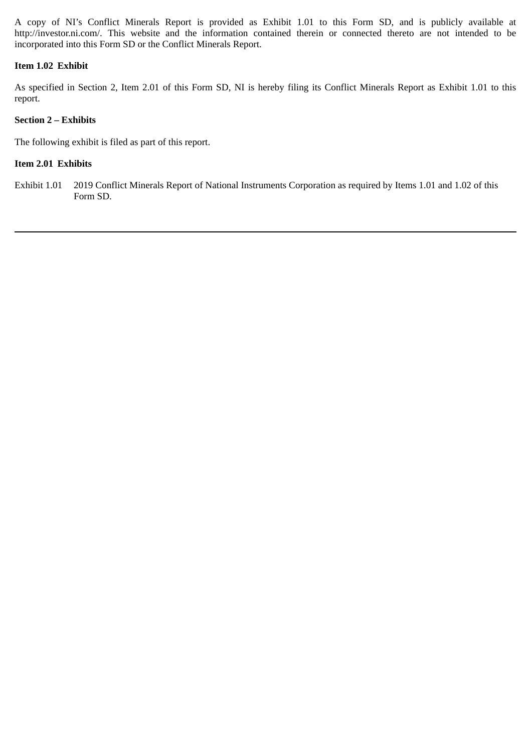A copy of NI's Conflict Minerals Report is provided as Exhibit 1.01 to this Form SD, and is publicly available at http://investor.ni.com/. This website and the information contained therein or connected thereto are not intended to be incorporated into this Form SD or the Conflict Minerals Report.

## **Item 1.02 Exhibit**

As specified in Section 2, Item 2.01 of this Form SD, NI is hereby filing its Conflict Minerals Report as Exhibit 1.01 to this report.

# **Section 2 – Exhibits**

The following exhibit is filed as part of this report.

# **Item 2.01 Exhibits**

Exhibit 1.01 2019 Conflict Minerals Report of National Instruments Corporation as required by Items 1.01 and 1.02 of this Form SD.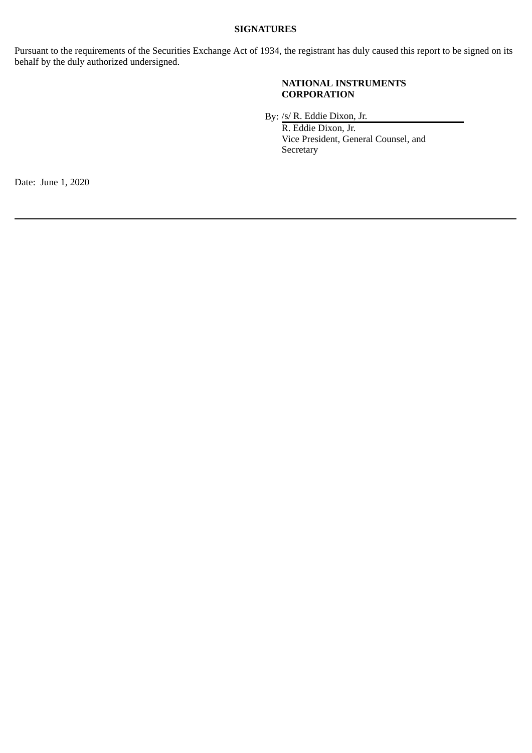# **SIGNATURES**

Pursuant to the requirements of the Securities Exchange Act of 1934, the registrant has duly caused this report to be signed on its behalf by the duly authorized undersigned.

### **NATIONAL INSTRUMENTS CORPORATION**

By: /s/ R. Eddie Dixon, Jr.

R. Eddie Dixon, Jr. Vice President, General Counsel, and **Secretary** 

Date: June 1, 2020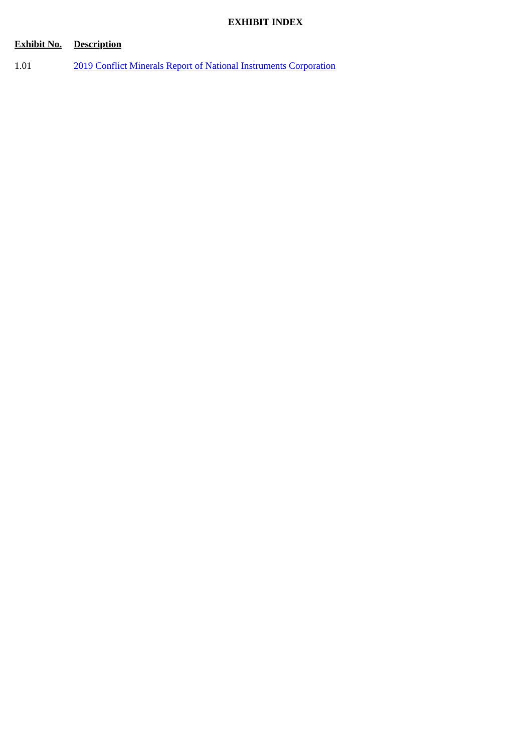# **EXHIBIT INDEX**

# **Exhibit No. Description**

1.01 [2019 Conflict Minerals Report of National Instruments Corporation](#page-5-0)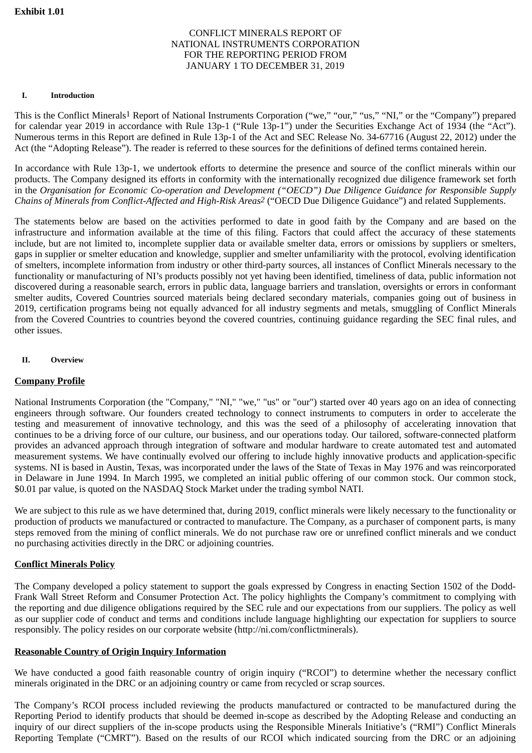## CONFLICT MINERALS REPORT OF NATIONAL INSTRUMENTS CORPORATION FOR THE REPORTING PERIOD FROM JANUARY 1 TO DECEMBER 31, 2019

#### **I. Introduction**

This is the Conflict Minerals<sup>1</sup> Report of National Instruments Corporation ("we," "our," "us," "NI," or the "Company") prepared for calendar year 2019 in accordance with Rule 13p-1 ("Rule 13p-1") under the Securities Exchange Act of 1934 (the "Act"). Numerous terms in this Report are defined in Rule 13p-1 of the Act and SEC Release No. 34-67716 (August 22, 2012) under the Act (the "Adopting Release"). The reader is referred to these sources for the definitions of defined terms contained herein.

In accordance with Rule 13p-1, we undertook efforts to determine the presence and source of the conflict minerals within our products. The Company designed its efforts in conformity with the internationally recognized due diligence framework set forth in the *Organisation for Economic Co-operation and Development ("OECD") Due Diligence Guidance for Responsible Supply Chains of Minerals from Conflict-Affected and High-Risk Areas2* ("OECD Due Diligence Guidance") and related Supplements.

The statements below are based on the activities performed to date in good faith by the Company and are based on the infrastructure and information available at the time of this filing. Factors that could affect the accuracy of these statements include, but are not limited to, incomplete supplier data or available smelter data, errors or omissions by suppliers or smelters, gaps in supplier or smelter education and knowledge, supplier and smelter unfamiliarity with the protocol, evolving identification of smelters, incomplete information from industry or other third-party sources, all instances of Conflict Minerals necessary to the functionality or manufacturing of NI's products possibly not yet having been identified, timeliness of data, public information not discovered during a reasonable search, errors in public data, language barriers and translation, oversights or errors in conformant smelter audits, Covered Countries sourced materials being declared secondary materials, companies going out of business in 2019, certification programs being not equally advanced for all industry segments and metals, smuggling of Conflict Minerals from the Covered Countries to countries beyond the covered countries, continuing guidance regarding the SEC final rules, and other issues.

#### **II. Overview**

## **Company Profile**

National Instruments Corporation (the "Company," "NI," "we," "us" or "our") started over 40 years ago on an idea of connecting engineers through software. Our founders created technology to connect instruments to computers in order to accelerate the testing and measurement of innovative technology, and this was the seed of a philosophy of accelerating innovation that continues to be a driving force of our culture, our business, and our operations today. Our tailored, software-connected platform provides an advanced approach through integration of software and modular hardware to create automated test and automated measurement systems. We have continually evolved our offering to include highly innovative products and application-specific systems. NI is based in Austin, Texas, was incorporated under the laws of the State of Texas in May 1976 and was reincorporated in Delaware in June 1994. In March 1995, we completed an initial public offering of our common stock. Our common stock, \$0.01 par value, is quoted on the NASDAQ Stock Market under the trading symbol NATI.

We are subject to this rule as we have determined that, during 2019, conflict minerals were likely necessary to the functionality or production of products we manufactured or contracted to manufacture. The Company, as a purchaser of component parts, is many steps removed from the mining of conflict minerals. We do not purchase raw ore or unrefined conflict minerals and we conduct no purchasing activities directly in the DRC or adjoining countries.

## **Conflict Minerals Policy**

The Company developed a policy statement to support the goals expressed by Congress in enacting Section 1502 of the Dodd-Frank Wall Street Reform and Consumer Protection Act. The policy highlights the Company's commitment to complying with the reporting and due diligence obligations required by the SEC rule and our expectations from our suppliers. The policy as well as our supplier code of conduct and terms and conditions include language highlighting our expectation for suppliers to source responsibly. The policy resides on our corporate website (http://ni.com/conflictminerals).

## **Reasonable Country of Origin Inquiry Information**

We have conducted a good faith reasonable country of origin inquiry ("RCOI") to determine whether the necessary conflict minerals originated in the DRC or an adjoining country or came from recycled or scrap sources.

The Company's RCOI process included reviewing the products manufactured or contracted to be manufactured during the Reporting Period to identify products that should be deemed in-scope as described by the Adopting Release and conducting an inquiry of our direct suppliers of the in-scope products using the Responsible Minerals Initiative's ("RMI") Conflict Minerals Reporting Template ("CMRT"). Based on the results of our RCOI which indicated sourcing from the DRC or an adjoining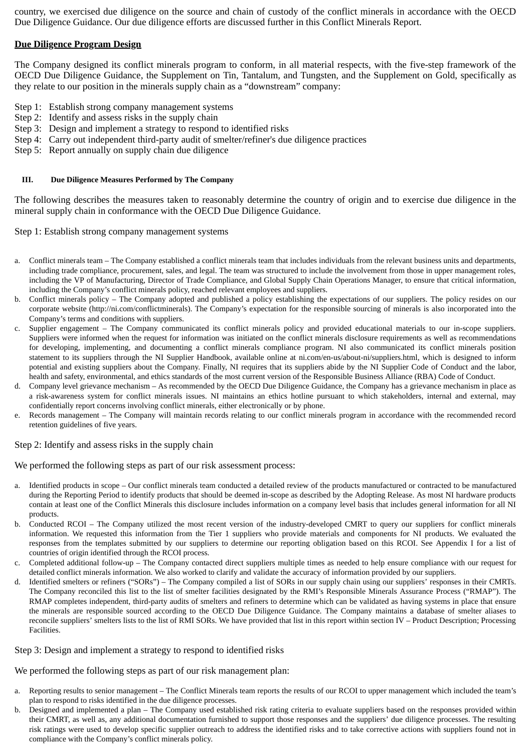country, we exercised due diligence on the source and chain of custody of the conflict minerals in accordance with the OECD Due Diligence Guidance. Our due diligence efforts are discussed further in this Conflict Minerals Report.

## **Due Diligence Program Design**

The Company designed its conflict minerals program to conform, in all material respects, with the five-step framework of the OECD Due Diligence Guidance, the Supplement on Tin, Tantalum, and Tungsten, and the Supplement on Gold, specifically as they relate to our position in the minerals supply chain as a "downstream" company:

- Step 1: Establish strong company management systems
- Step 2: Identify and assess risks in the supply chain
- Step 3: Design and implement a strategy to respond to identified risks
- Step 4: Carry out independent third-party audit of smelter/refiner's due diligence practices
- Step 5: Report annually on supply chain due diligence

#### **III. Due Diligence Measures Performed by The Company**

The following describes the measures taken to reasonably determine the country of origin and to exercise due diligence in the mineral supply chain in conformance with the OECD Due Diligence Guidance.

Step 1: Establish strong company management systems

- a. Conflict minerals team The Company established a conflict minerals team that includes individuals from the relevant business units and departments, including trade compliance, procurement, sales, and legal. The team was structured to include the involvement from those in upper management roles, including the VP of Manufacturing, Director of Trade Compliance, and Global Supply Chain Operations Manager, to ensure that critical information, including the Company's conflict minerals policy, reached relevant employees and suppliers.
- b. Conflict minerals policy The Company adopted and published a policy establishing the expectations of our suppliers. The policy resides on our corporate website (http://ni.com/conflictminerals). The Company's expectation for the responsible sourcing of minerals is also incorporated into the Company's terms and conditions with suppliers.
- Supplier engagement The Company communicated its conflict minerals policy and provided educational materials to our in-scope suppliers. Suppliers were informed when the request for information was initiated on the conflict minerals disclosure requirements as well as recommendations for developing, implementing, and documenting a conflict minerals compliance program. NI also communicated its conflict minerals position statement to its suppliers through the NI Supplier Handbook, available online at ni.com/en-us/about-ni/suppliers.html, which is designed to inform potential and existing suppliers about the Company. Finally, NI requires that its suppliers abide by the NI Supplier Code of Conduct and the labor, health and safety, environmental, and ethics standards of the most current version of the Responsible Business Alliance (RBA) Code of Conduct.
- d. Company level grievance mechanism As recommended by the OECD Due Diligence Guidance, the Company has a grievance mechanism in place as a risk-awareness system for conflict minerals issues. NI maintains an ethics hotline pursuant to which stakeholders, internal and external, may confidentially report concerns involving conflict minerals, either electronically or by phone.
- e. Records management The Company will maintain records relating to our conflict minerals program in accordance with the recommended record retention guidelines of five years.

#### Step 2: Identify and assess risks in the supply chain

#### We performed the following steps as part of our risk assessment process:

- a. Identified products in scope Our conflict minerals team conducted a detailed review of the products manufactured or contracted to be manufactured during the Reporting Period to identify products that should be deemed in-scope as described by the Adopting Release. As most NI hardware products contain at least one of the Conflict Minerals this disclosure includes information on a company level basis that includes general information for all NI products.
- b. Conducted RCOI The Company utilized the most recent version of the industry-developed CMRT to query our suppliers for conflict minerals information. We requested this information from the Tier 1 suppliers who provide materials and components for NI products. We evaluated the responses from the templates submitted by our suppliers to determine our reporting obligation based on this RCOI. See Appendix I for a list of countries of origin identified through the RCOI process.
- c. Completed additional follow-up The Company contacted direct suppliers multiple times as needed to help ensure compliance with our request for detailed conflict minerals information. We also worked to clarify and validate the accuracy of information provided by our suppliers.
- d. Identified smelters or refiners ("SORs") The Company compiled a list of SORs in our supply chain using our suppliers' responses in their CMRTs. The Company reconciled this list to the list of smelter facilities designated by the RMI's Responsible Minerals Assurance Process ("RMAP"). The RMAP completes independent, third-party audits of smelters and refiners to determine which can be validated as having systems in place that ensure the minerals are responsible sourced according to the OECD Due Diligence Guidance. The Company maintains a database of smelter aliases to reconcile suppliers' smelters lists to the list of RMI SORs. We have provided that list in this report within section IV – Product Description; Processing Facilities.

#### Step 3: Design and implement a strategy to respond to identified risks

#### We performed the following steps as part of our risk management plan:

- a. Reporting results to senior management The Conflict Minerals team reports the results of our RCOI to upper management which included the team's plan to respond to risks identified in the due diligence processes.
- b. Designed and implemented a plan The Company used established risk rating criteria to evaluate suppliers based on the responses provided within their CMRT, as well as, any additional documentation furnished to support those responses and the suppliers' due diligence processes. The resulting risk ratings were used to develop specific supplier outreach to address the identified risks and to take corrective actions with suppliers found not in compliance with the Company's conflict minerals policy.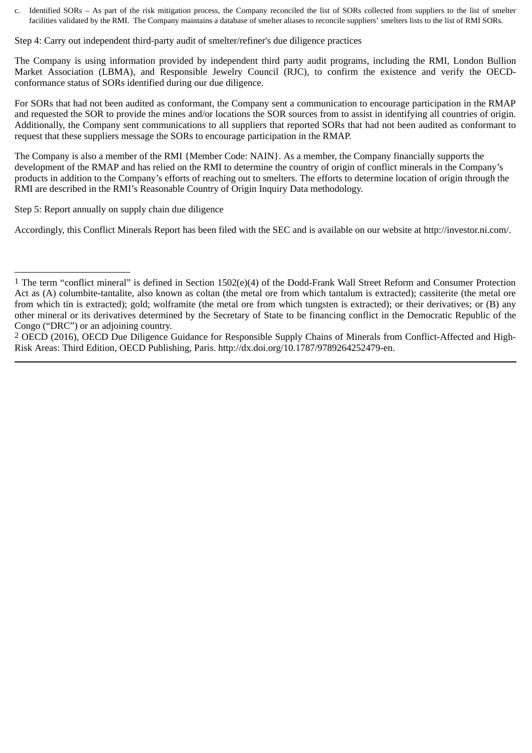c. Identified SORs – As part of the risk mitigation process, the Company reconciled the list of SORs collected from suppliers to the list of smelter facilities validated by the RMI. The Company maintains a database of smelter aliases to reconcile suppliers' smelters lists to the list of RMI SORs.

Step 4: Carry out independent third-party audit of smelter/refiner's due diligence practices

The Company is using information provided by independent third party audit programs, including the RMI, London Bullion Market Association (LBMA), and Responsible Jewelry Council (RJC), to confirm the existence and verify the OECDconformance status of SORs identified during our due diligence.

For SORs that had not been audited as conformant, the Company sent a communication to encourage participation in the RMAP and requested the SOR to provide the mines and/or locations the SOR sources from to assist in identifying all countries of origin. Additionally, the Company sent communications to all suppliers that reported SORs that had not been audited as conformant to request that these suppliers message the SORs to encourage participation in the RMAP.

The Company is also a member of the RMI {Member Code: NAIN}. As a member, the Company financially supports the development of the RMAP and has relied on the RMI to determine the country of origin of conflict minerals in the Company's products in addition to the Company's efforts of reaching out to smelters. The efforts to determine location of origin through the RMI are described in the RMI's Reasonable Country of Origin Inquiry Data methodology.

Step 5: Report annually on supply chain due diligence

Accordingly, this Conflict Minerals Report has been filed with the SEC and is available on our website at http://investor.ni.com/.

<sup>1</sup> The term "conflict mineral" is defined in Section 1502(e)(4) of the Dodd-Frank Wall Street Reform and Consumer Protection Act as (A) columbite-tantalite, also known as coltan (the metal ore from which tantalum is extracted); cassiterite (the metal ore from which tin is extracted); gold; wolframite (the metal ore from which tungsten is extracted); or their derivatives; or (B) any other mineral or its derivatives determined by the Secretary of State to be financing conflict in the Democratic Republic of the Congo ("DRC") or an adjoining country.

<sup>2</sup> OECD (2016), OECD Due Diligence Guidance for Responsible Supply Chains of Minerals from Conflict-Affected and High-Risk Areas: Third Edition, OECD Publishing, Paris. http://dx.doi.org/10.1787/9789264252479-en.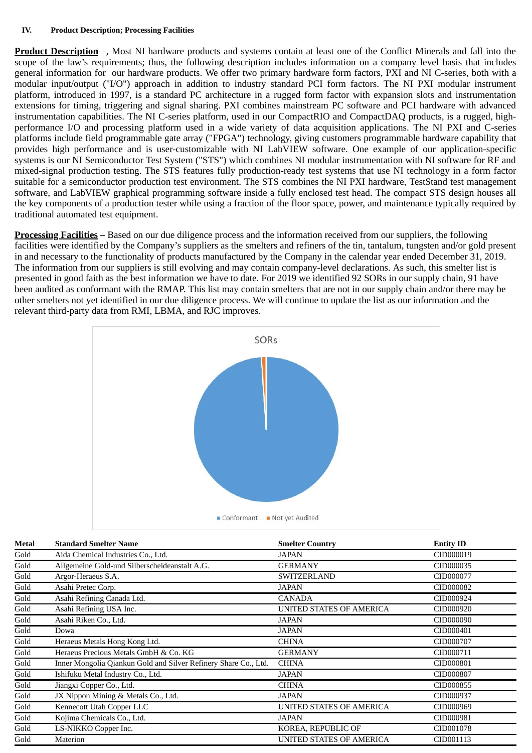**Product Description** –, Most NI hardware products and systems contain at least one of the Conflict Minerals and fall into the scope of the law's requirements; thus, the following description includes information on a company level basis that includes general information for our hardware products. We offer two primary hardware form factors, PXI and NI C-series, both with a modular input/output ("I/O") approach in addition to industry standard PCI form factors. The NI PXI modular instrument platform, introduced in 1997, is a standard PC architecture in a rugged form factor with expansion slots and instrumentation extensions for timing, triggering and signal sharing. PXI combines mainstream PC software and PCI hardware with advanced instrumentation capabilities. The NI C-series platform, used in our CompactRIO and CompactDAQ products, is a rugged, highperformance I/O and processing platform used in a wide variety of data acquisition applications. The NI PXI and C-series platforms include field programmable gate array ("FPGA") technology, giving customers programmable hardware capability that provides high performance and is user-customizable with NI LabVIEW software. One example of our application-specific systems is our NI Semiconductor Test System ("STS") which combines NI modular instrumentation with NI software for RF and mixed-signal production testing. The STS features fully production-ready test systems that use NI technology in a form factor suitable for a semiconductor production test environment. The STS combines the NI PXI hardware, TestStand test management software, and LabVIEW graphical programming software inside a fully enclosed test head. The compact STS design houses all the key components of a production tester while using a fraction of the floor space, power, and maintenance typically required by traditional automated test equipment.

**Processing Facilities –** Based on our due diligence process and the information received from our suppliers, the following facilities were identified by the Company's suppliers as the smelters and refiners of the tin, tantalum, tungsten and/or gold present in and necessary to the functionality of products manufactured by the Company in the calendar year ended December 31, 2019. The information from our suppliers is still evolving and may contain company-level declarations. As such, this smelter list is presented in good faith as the best information we have to date. For 2019 we identified 92 SORs in our supply chain, 91 have been audited as conformant with the RMAP. This list may contain smelters that are not in our supply chain and/or there may be other smelters not yet identified in our due diligence process. We will continue to update the list as our information and the relevant third-party data from RMI, LBMA, and RJC improves.



| <b>Metal</b> | <b>Standard Smelter Name</b>                                    | <b>Smelter Country</b>          | <b>Entity ID</b> |
|--------------|-----------------------------------------------------------------|---------------------------------|------------------|
| Gold         | Aida Chemical Industries Co., Ltd.                              | JAPAN                           | CID000019        |
| Gold         | Allgemeine Gold-und Silberscheideanstalt A.G.                   | <b>GERMANY</b>                  | CID000035        |
| Gold         | Argor-Heraeus S.A.                                              | <b>SWITZERLAND</b>              | CID000077        |
| Gold         | Asahi Pretec Corp.                                              | <b>JAPAN</b>                    | CID000082        |
| Gold         | Asahi Refining Canada Ltd.                                      | <b>CANADA</b>                   | CID000924        |
| Gold         | Asahi Refining USA Inc.                                         | <b>UNITED STATES OF AMERICA</b> | CID000920        |
| Gold         | Asahi Riken Co., Ltd.                                           | <b>JAPAN</b>                    | CID000090        |
| Gold         | Dowa                                                            | <b>JAPAN</b>                    | CID000401        |
| Gold         | Heraeus Metals Hong Kong Ltd.                                   | <b>CHINA</b>                    | CID000707        |
| Gold         | Heraeus Precious Metals GmbH & Co. KG                           | <b>GERMANY</b>                  | CID000711        |
| Gold         | Inner Mongolia Qiankun Gold and Silver Refinery Share Co., Ltd. | <b>CHINA</b>                    | CID000801        |
| Gold         | Ishifuku Metal Industry Co., Ltd.                               | <b>JAPAN</b>                    | CID000807        |
| Gold         | Jiangxi Copper Co., Ltd.                                        | <b>CHINA</b>                    | CID000855        |
| Gold         | JX Nippon Mining & Metals Co., Ltd.                             | <b>JAPAN</b>                    | CID000937        |
| Gold         | Kennecott Utah Copper LLC                                       | <b>UNITED STATES OF AMERICA</b> | CID000969        |
| Gold         | Kojima Chemicals Co., Ltd.                                      | <b>JAPAN</b>                    | CID000981        |
| Gold         | LS-NIKKO Copper Inc.                                            | KOREA, REPUBLIC OF              | CID001078        |
| Gold         | Materion                                                        | <b>UNITED STATES OF AMERICA</b> | CID001113        |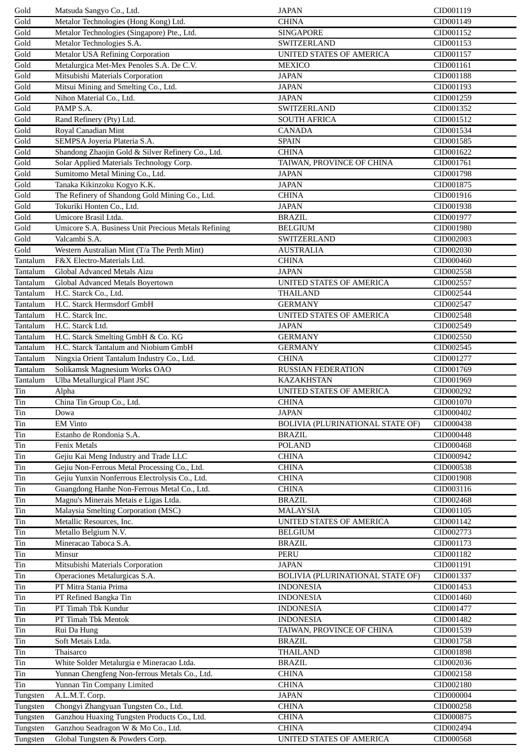| Gold                     | Matsuda Sangyo Co., Ltd.                                                    | <b>JAPAN</b>                             | CID001119              |
|--------------------------|-----------------------------------------------------------------------------|------------------------------------------|------------------------|
| Gold                     | Metalor Technologies (Hong Kong) Ltd.                                       | <b>CHINA</b>                             | CID001149              |
| Gold                     | Metalor Technologies (Singapore) Pte., Ltd.                                 | <b>SINGAPORE</b>                         | CID001152              |
| Gold                     | Metalor Technologies S.A.                                                   | <b>SWITZERLAND</b>                       | CID001153              |
| Gold                     | <b>Metalor USA Refining Corporation</b>                                     | UNITED STATES OF AMERICA                 | CID001157              |
| Gold                     | Metalurgica Met-Mex Penoles S.A. De C.V.                                    | <b>MEXICO</b>                            | CID001161              |
| Gold                     | Mitsubishi Materials Corporation                                            | <b>JAPAN</b>                             | CID001188              |
| Gold                     | Mitsui Mining and Smelting Co., Ltd.                                        | <b>JAPAN</b>                             | CID001193              |
| Gold                     | Nihon Material Co., Ltd.                                                    | <b>JAPAN</b>                             | CID001259              |
| Gold                     | PAMP S.A.                                                                   | SWITZERLAND                              | CID001352              |
| $\overline{\text{Gold}}$ | Rand Refinery (Pty) Ltd.                                                    | <b>SOUTH AFRICA</b>                      | CID001512              |
| Gold                     | Royal Canadian Mint                                                         | <b>CANADA</b>                            | CID001534              |
| Gold                     | SEMPSA Joyeria Plateria S.A.                                                | <b>SPAIN</b>                             | CID001585              |
| Gold                     | Shandong Zhaojin Gold & Silver Refinery Co., Ltd.                           | <b>CHINA</b>                             | CID001622              |
| Gold                     | Solar Applied Materials Technology Corp.                                    | TAIWAN, PROVINCE OF CHINA                | CID001761              |
| Gold                     | Sumitomo Metal Mining Co., Ltd.                                             | <b>JAPAN</b>                             | CID001798              |
| Gold                     | Tanaka Kikinzoku Kogyo K.K.                                                 | <b>JAPAN</b>                             | CID001875              |
| Gold                     | The Refinery of Shandong Gold Mining Co., Ltd.                              | <b>CHINA</b>                             | CID001916              |
| Gold                     | Tokuriki Honten Co., Ltd.                                                   | <b>JAPAN</b>                             | CID001938              |
| Gold                     | Umicore Brasil Ltda.                                                        | <b>BRAZIL</b>                            | CID001977              |
| Gold                     | Umicore S.A. Business Unit Precious Metals Refining                         | <b>BELGIUM</b>                           | CID001980              |
| Gold                     | Valcambi S.A.                                                               | <b>SWITZERLAND</b>                       | CID002003              |
| Gold                     | Western Australian Mint (T/a The Perth Mint)                                | <b>AUSTRALIA</b>                         | CID002030              |
| Tantalum                 | F&X Electro-Materials Ltd.                                                  | <b>CHINA</b>                             | CID000460              |
| Tantalum                 | Global Advanced Metals Aizu                                                 | <b>JAPAN</b>                             | CID002558              |
| Tantalum                 | Global Advanced Metals Boyertown                                            | UNITED STATES OF AMERICA                 | CID002557              |
| Tantalum                 | H.C. Starck Co., Ltd.                                                       | <b>THAILAND</b>                          | CID002544              |
| Tantalum                 | H.C. Starck Hermsdorf GmbH                                                  | <b>GERMANY</b>                           | CID002547              |
| Tantalum                 | H.C. Starck Inc.                                                            | UNITED STATES OF AMERICA                 | CID002548              |
| Tantalum                 | H.C. Starck Ltd.                                                            | <b>JAPAN</b>                             | CID002549              |
|                          |                                                                             |                                          |                        |
| Tantalum                 | H.C. Starck Smelting GmbH & Co. KG<br>H.C. Starck Tantalum and Niobium GmbH | <b>GERMANY</b>                           | CID002550              |
| Tantalum<br>Tantalum     | Ningxia Orient Tantalum Industry Co., Ltd.                                  | <b>GERMANY</b><br><b>CHINA</b>           | CID002545<br>CID001277 |
|                          |                                                                             |                                          |                        |
| Tantalum                 | Solikamsk Magnesium Works OAO                                               | <b>RUSSIAN FEDERATION</b>                | CID001769              |
|                          |                                                                             |                                          |                        |
| Tantalum                 | Ulba Metallurgical Plant JSC                                                | <b>KAZAKHSTAN</b>                        | CID001969              |
| Tin                      | Alpha                                                                       | UNITED STATES OF AMERICA                 | CID000292              |
| Tin                      | China Tin Group Co., Ltd.                                                   | <b>CHINA</b>                             | CID001070              |
| Tin                      | Dowa                                                                        | <b>JAPAN</b>                             | CID000402              |
| Tin                      | <b>EM Vinto</b>                                                             | BOLIVIA (PLURINATIONAL STATE OF)         | CID000438              |
| Tin                      | Estanho de Rondonia S.A.                                                    | <b>BRAZIL</b>                            | CID000448              |
| Tin                      | <b>Fenix Metals</b>                                                         | <b>POLAND</b>                            | CID000468              |
| Tin                      | Gejiu Kai Meng Industry and Trade LLC                                       | <b>CHINA</b>                             | CID000942              |
| Tin                      | Gejiu Non-Ferrous Metal Processing Co., Ltd.                                | <b>CHINA</b>                             | CID000538              |
| Tin                      | Gejiu Yunxin Nonferrous Electrolysis Co., Ltd.                              | <b>CHINA</b>                             | CID001908              |
| Tin                      | Guangdong Hanhe Non-Ferrous Metal Co., Ltd.                                 | <b>CHINA</b>                             | CID003116              |
| Tin                      | Magnu's Minerais Metais e Ligas Ltda.                                       | <b>BRAZIL</b>                            | CID002468              |
| Tin                      | Malaysia Smelting Corporation (MSC)                                         | <b>MALAYSIA</b>                          | CID001105              |
| Tin                      | Metallic Resources, Inc.                                                    | UNITED STATES OF AMERICA                 | CID001142              |
| Tin                      | Metallo Belgium N.V.                                                        | <b>BELGIUM</b>                           | CID002773              |
| Tin                      | Mineracao Taboca S.A.                                                       | <b>BRAZIL</b>                            | CID001173              |
| Tin                      | Minsur                                                                      | <b>PERU</b>                              | CID001182              |
| Tin                      | Mitsubishi Materials Corporation                                            | <b>JAPAN</b>                             | CID001191              |
| Tin                      | Operaciones Metalurgicas S.A.                                               | BOLIVIA (PLURINATIONAL STATE OF)         | CID001337              |
| Tin                      | PT Mitra Stania Prima                                                       | <b>INDONESIA</b>                         | CID001453              |
| Tin                      | PT Refined Bangka Tin                                                       | <b>INDONESIA</b>                         | CID001460              |
| Tin                      | PT Timah Tbk Kundur                                                         | <b>INDONESIA</b>                         | CID001477              |
| Tin                      | PT Timah Tbk Mentok                                                         | <b>INDONESIA</b>                         | CID001482              |
| Tin                      | Rui Da Hung                                                                 | TAIWAN, PROVINCE OF CHINA                | CID001539              |
| Tin                      | Soft Metais Ltda.                                                           | <b>BRAZIL</b>                            | CID001758              |
| Tin                      | Thaisarco                                                                   | <b>THAILAND</b>                          | CID001898              |
| Tin                      | White Solder Metalurgia e Mineracao Ltda.                                   | <b>BRAZIL</b>                            | CID002036              |
| Tin                      | Yunnan Chengfeng Non-ferrous Metals Co., Ltd.                               | <b>CHINA</b>                             | CID002158              |
| Tin                      | Yunnan Tin Company Limited                                                  | <b>CHINA</b>                             | CID002180              |
| Tungsten                 | A.L.M.T. Corp.                                                              | <b>JAPAN</b>                             | CID000004              |
| Tungsten                 | Chongyi Zhangyuan Tungsten Co., Ltd.                                        | <b>CHINA</b>                             | CID000258              |
| Tungsten                 | Ganzhou Huaxing Tungsten Products Co., Ltd.                                 | <b>CHINA</b>                             | CID000875              |
| Tungsten<br>Tungsten     | Ganzhou Seadragon W & Mo Co., Ltd.<br>Global Tungsten & Powders Corp.       | <b>CHINA</b><br>UNITED STATES OF AMERICA | CID002494<br>CID000568 |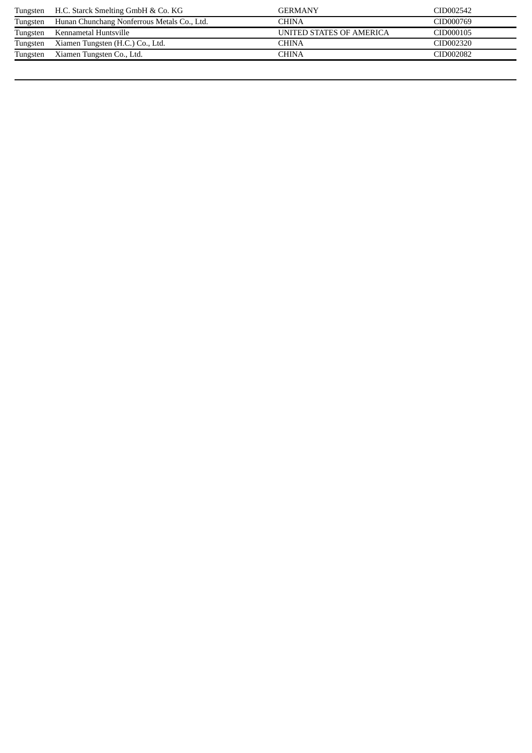|          | Tungsten H.C. Starck Smelting GmbH & Co. KG | <b>GERMANY</b>           | CID002542 |
|----------|---------------------------------------------|--------------------------|-----------|
| Tungsten | Hunan Chunchang Nonferrous Metals Co., Ltd. | <b>CHINA</b>             | CID000769 |
|          | Tungsten Kennametal Huntsville              | UNITED STATES OF AMERICA | CID000105 |
| Tungsten | Xiamen Tungsten (H.C.) Co., Ltd.            | CHINA                    | CID002320 |
| Tungsten | Xiamen Tungsten Co., Ltd.                   | <b>CHINA</b>             | CID002082 |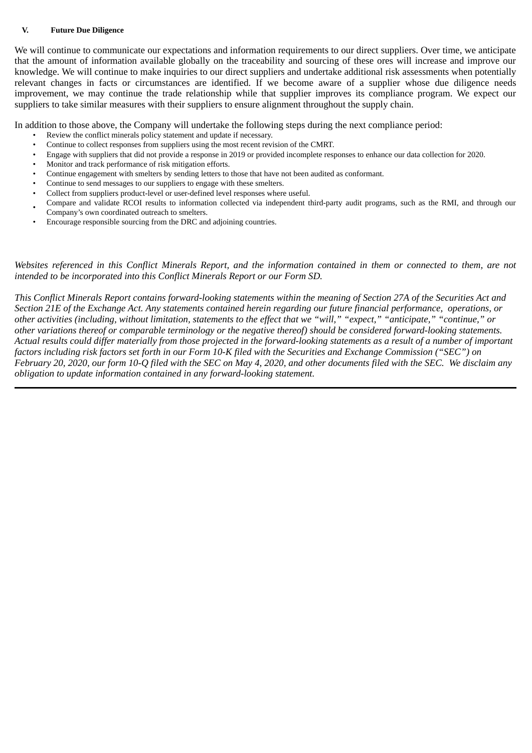#### **V. Future Due Diligence**

We will continue to communicate our expectations and information requirements to our direct suppliers. Over time, we anticipate that the amount of information available globally on the traceability and sourcing of these ores will increase and improve our knowledge. We will continue to make inquiries to our direct suppliers and undertake additional risk assessments when potentially relevant changes in facts or circumstances are identified. If we become aware of a supplier whose due diligence needs improvement, we may continue the trade relationship while that supplier improves its compliance program. We expect our suppliers to take similar measures with their suppliers to ensure alignment throughout the supply chain.

In addition to those above, the Company will undertake the following steps during the next compliance period:

- Review the conflict minerals policy statement and update if necessary.
- Continue to collect responses from suppliers using the most recent revision of the CMRT.
- Engage with suppliers that did not provide a response in 2019 or provided incomplete responses to enhance our data collection for 2020.
- Monitor and track performance of risk mitigation efforts.
- Continue engagement with smelters by sending letters to those that have not been audited as conformant.
- Continue to send messages to our suppliers to engage with these smelters.
- Collect from suppliers product-level or user-defined level responses where useful.
- Compare and validate RCOI results to information collected via independent third-party audit programs, such as the RMI, and through our Company's own coordinated outreach to smelters.
- Encourage responsible sourcing from the DRC and adjoining countries.

*Websites referenced in this Conflict Minerals Report, and the information contained in them or connected to them, are not intended to be incorporated into this Conflict Minerals Report or our Form SD.*

*This Conflict Minerals Report contains forward-looking statements within the meaning of Section 27A of the Securities Act and Section 21E of the Exchange Act. Any statements contained herein regarding our future financial performance, operations, or other activities (including, without limitation, statements to the effect that we "will," "expect," "anticipate," "continue," or other variations thereof or comparable terminology or the negative thereof) should be considered forward-looking statements. Actual results could differ materially from those projected in the forward-looking statements as a result of a number of important factors including risk factors set forth in our Form 10-K filed with the Securities and Exchange Commission ("SEC") on February 20, 2020, our form 10-Q filed with the SEC on May 4, 2020, and other documents filed with the SEC. We disclaim any obligation to update information contained in any forward-looking statement.*